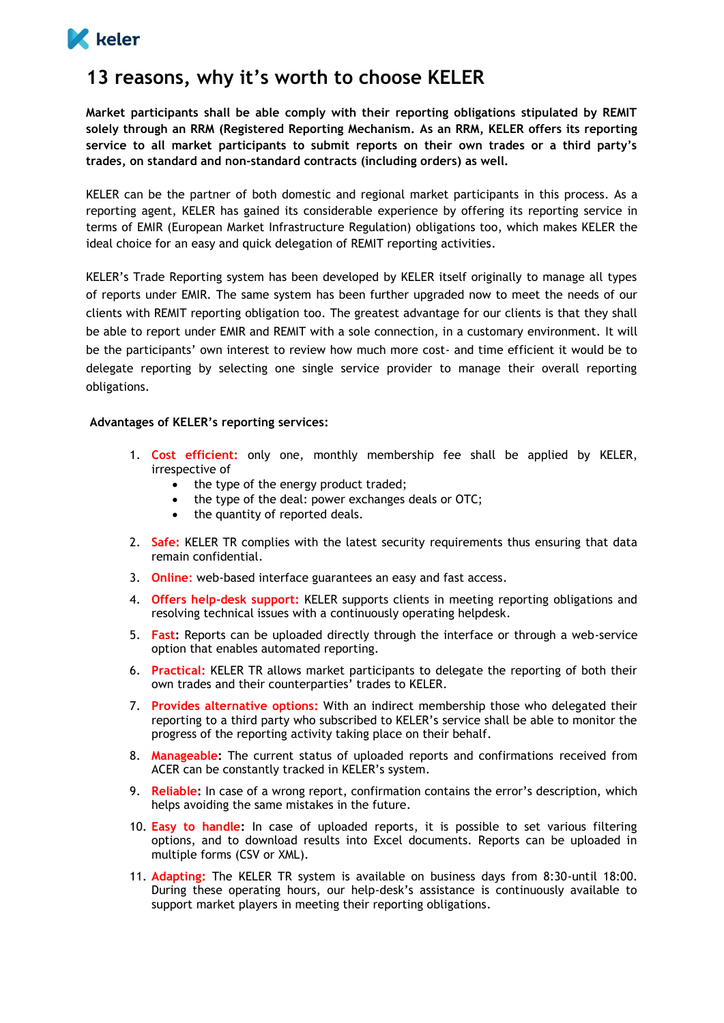

## **13 reasons, why it's worth to choose KELER**

**Market participants shall be able comply with their reporting obligations stipulated by REMIT solely through an RRM (Registered Reporting Mechanism. As an RRM, KELER offers its reporting service to all market participants to submit reports on their own trades or a third party's trades, on standard and non-standard contracts (including orders) as well.**

KELER can be the partner of both domestic and regional market participants in this process. As a reporting agent, KELER has gained its considerable experience by offering its reporting service in terms of EMIR (European Market Infrastructure Regulation) obligations too, which makes KELER the ideal choice for an easy and quick delegation of REMIT reporting activities.

KELER's Trade Reporting system has been developed by KELER itself originally to manage all types of reports under EMIR. The same system has been further upgraded now to meet the needs of our clients with REMIT reporting obligation too. The greatest advantage for our clients is that they shall be able to report under EMIR and REMIT with a sole connection, in a customary environment. It will be the participants' own interest to review how much more cost- and time efficient it would be to delegate reporting by selecting one single service provider to manage their overall reporting obligations.

## **Advantages of KELER's reporting services:**

- 1. **Cost efficient:** only one, monthly membership fee shall be applied by KELER, irrespective of
	- the type of the energy product traded;
	- the type of the deal: power exchanges deals or OTC;
	- the quantity of reported deals.
- 2. **Safe:** KELER TR complies with the latest security requirements thus ensuring that data remain confidential.
- 3. **Online**: web-based interface guarantees an easy and fast access.
- 4. **Offers help-desk support:** KELER supports clients in meeting reporting obligations and resolving technical issues with a continuously operating helpdesk.
- 5. **Fast:** Reports can be uploaded directly through the interface or through a web-service option that enables automated reporting.
- 6. **Practical:** KELER TR allows market participants to delegate the reporting of both their own trades and their counterparties' trades to KELER.
- 7. **Provides alternative options:** With an indirect membership those who delegated their reporting to a third party who subscribed to KELER's service shall be able to monitor the progress of the reporting activity taking place on their behalf.
- 8. **Manageable:** The current status of uploaded reports and confirmations received from ACER can be constantly tracked in KELER's system.
- 9. **Reliable:** In case of a wrong report, confirmation contains the error's description, which helps avoiding the same mistakes in the future.
- 10. **Easy to handle:** In case of uploaded reports, it is possible to set various filtering options, and to download results into Excel documents. Reports can be uploaded in multiple forms (CSV or XML).
- 11. **Adapting:** The KELER TR system is available on business days from 8:30-until 18:00. During these operating hours, our help-desk's assistance is continuously available to support market players in meeting their reporting obligations.